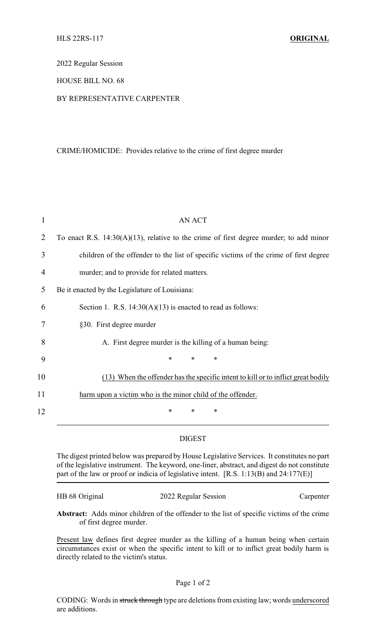2022 Regular Session

## HOUSE BILL NO. 68

# BY REPRESENTATIVE CARPENTER

### CRIME/HOMICIDE: Provides relative to the crime of first degree murder

| 1  | <b>AN ACT</b>                                                                             |
|----|-------------------------------------------------------------------------------------------|
| 2  | To enact R.S. $14:30(A)(13)$ , relative to the crime of first degree murder; to add minor |
| 3  | children of the offender to the list of specific victims of the crime of first degree     |
| 4  | murder; and to provide for related matters.                                               |
| 5  | Be it enacted by the Legislature of Louisiana:                                            |
| 6  | Section 1. R.S. $14:30(A)(13)$ is enacted to read as follows:                             |
| 7  | §30. First degree murder                                                                  |
| 8  | A. First degree murder is the killing of a human being:                                   |
| 9  | $\ast$<br>$\ast$<br>*                                                                     |
| 10 | (13) When the offender has the specific intent to kill or to inflict great bodily         |
| 11 | harm upon a victim who is the minor child of the offender.                                |
| 12 | $\ast$<br>*<br>∗                                                                          |

## DIGEST

The digest printed below was prepared by House Legislative Services. It constitutes no part of the legislative instrument. The keyword, one-liner, abstract, and digest do not constitute part of the law or proof or indicia of legislative intent. [R.S. 1:13(B) and 24:177(E)]

| HB 68 Original | 2022 Regular Session | Carpenter |
|----------------|----------------------|-----------|
|                |                      |           |

**Abstract:** Adds minor children of the offender to the list of specific victims of the crime of first degree murder.

Present law defines first degree murder as the killing of a human being when certain circumstances exist or when the specific intent to kill or to inflict great bodily harm is directly related to the victim's status.

### Page 1 of 2

CODING: Words in struck through type are deletions from existing law; words underscored are additions.